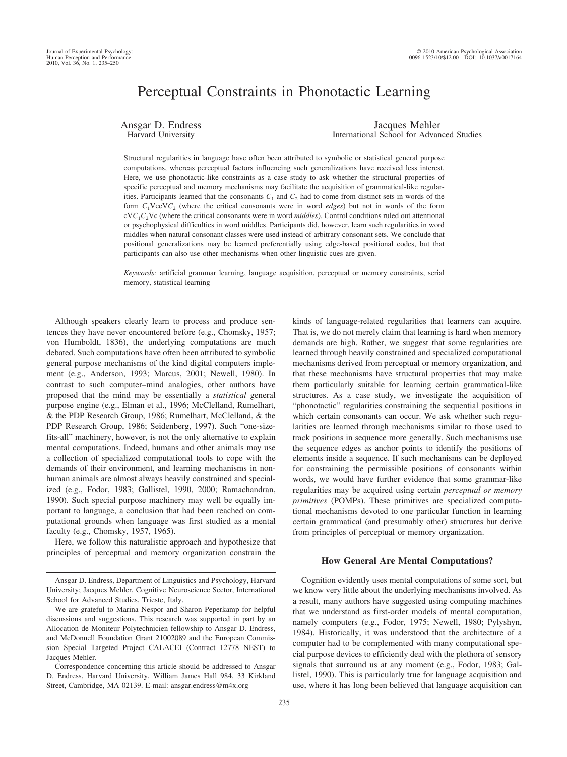# Perceptual Constraints in Phonotactic Learning

Ansgar D. Endress Harvard University

Jacques Mehler International School for Advanced Studies

Structural regularities in language have often been attributed to symbolic or statistical general purpose computations, whereas perceptual factors influencing such generalizations have received less interest. Here, we use phonotactic-like constraints as a case study to ask whether the structural properties of specific perceptual and memory mechanisms may facilitate the acquisition of grammatical-like regularities. Participants learned that the consonants  $C_1$  and  $C_2$  had to come from distinct sets in words of the form *C*1VccV*C*<sup>2</sup> (where the critical consonants were in word *edges*) but not in words of the form cV*C*1*C*2Vc (where the critical consonants were in word *middles*). Control conditions ruled out attentional or psychophysical difficulties in word middles. Participants did, however, learn such regularities in word middles when natural consonant classes were used instead of arbitrary consonant sets. We conclude that positional generalizations may be learned preferentially using edge-based positional codes, but that participants can also use other mechanisms when other linguistic cues are given.

*Keywords:* artificial grammar learning, language acquisition, perceptual or memory constraints, serial memory, statistical learning

Although speakers clearly learn to process and produce sentences they have never encountered before (e.g., Chomsky, 1957; von Humboldt, 1836), the underlying computations are much debated. Such computations have often been attributed to symbolic general purpose mechanisms of the kind digital computers implement (e.g., Anderson, 1993; Marcus, 2001; Newell, 1980). In contrast to such computer–mind analogies, other authors have proposed that the mind may be essentially a *statistical* general purpose engine (e.g., Elman et al., 1996; McClelland, Rumelhart, & the PDP Research Group, 1986; Rumelhart, McClelland, & the PDP Research Group, 1986; Seidenberg, 1997). Such "one-sizefits-all" machinery, however, is not the only alternative to explain mental computations. Indeed, humans and other animals may use a collection of specialized computational tools to cope with the demands of their environment, and learning mechanisms in nonhuman animals are almost always heavily constrained and specialized (e.g., Fodor, 1983; Gallistel, 1990, 2000; Ramachandran, 1990). Such special purpose machinery may well be equally important to language, a conclusion that had been reached on computational grounds when language was first studied as a mental faculty (e.g., Chomsky, 1957, 1965).

Here, we follow this naturalistic approach and hypothesize that principles of perceptual and memory organization constrain the kinds of language-related regularities that learners can acquire. That is, we do not merely claim that learning is hard when memory demands are high. Rather, we suggest that some regularities are learned through heavily constrained and specialized computational mechanisms derived from perceptual or memory organization, and that these mechanisms have structural properties that may make them particularly suitable for learning certain grammatical-like structures. As a case study, we investigate the acquisition of "phonotactic" regularities constraining the sequential positions in which certain consonants can occur. We ask whether such regularities are learned through mechanisms similar to those used to track positions in sequence more generally. Such mechanisms use the sequence edges as anchor points to identify the positions of elements inside a sequence. If such mechanisms can be deployed for constraining the permissible positions of consonants within words, we would have further evidence that some grammar-like regularities may be acquired using certain *perceptual or memory primitives* (POMPs). These primitives are specialized computational mechanisms devoted to one particular function in learning certain grammatical (and presumably other) structures but derive from principles of perceptual or memory organization.

#### **How General Are Mental Computations?**

Cognition evidently uses mental computations of some sort, but we know very little about the underlying mechanisms involved. As a result, many authors have suggested using computing machines that we understand as first-order models of mental computation, namely computers (e.g., Fodor, 1975; Newell, 1980; Pylyshyn, 1984). Historically, it was understood that the architecture of a computer had to be complemented with many computational special purpose devices to efficiently deal with the plethora of sensory signals that surround us at any moment (e.g., Fodor, 1983; Gallistel, 1990). This is particularly true for language acquisition and use, where it has long been believed that language acquisition can

Ansgar D. Endress, Department of Linguistics and Psychology, Harvard University; Jacques Mehler, Cognitive Neuroscience Sector, International School for Advanced Studies, Trieste, Italy.

We are grateful to Marina Nespor and Sharon Peperkamp for helpful discussions and suggestions. This research was supported in part by an Allocation de Moniteur Polytechnicien fellowship to Ansgar D. Endress, and McDonnell Foundation Grant 21002089 and the European Commission Special Targeted Project CALACEI (Contract 12778 NEST) to Jacques Mehler.

Correspondence concerning this article should be addressed to Ansgar D. Endress, Harvard University, William James Hall 984, 33 Kirkland Street, Cambridge, MA 02139. E-mail: ansgar.endress@m4x.org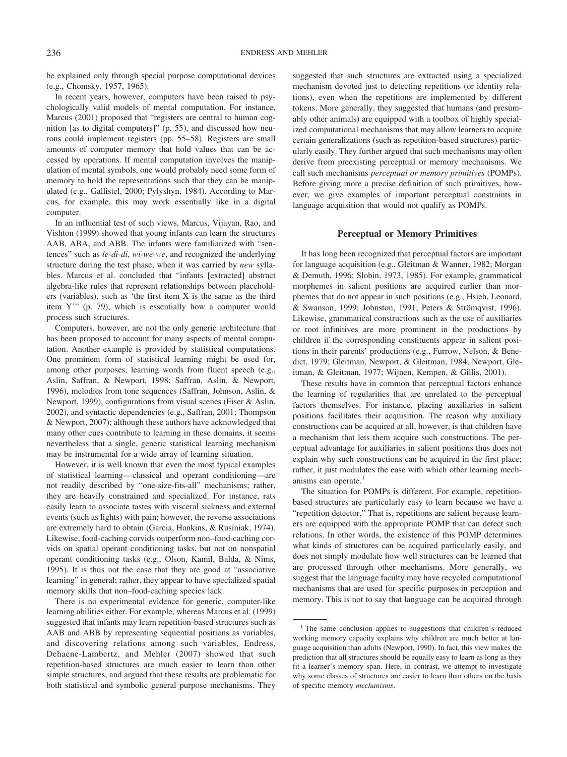be explained only through special purpose computational devices (e.g., Chomsky, 1957, 1965).

In recent years, however, computers have been raised to psychologically valid models of mental computation. For instance, Marcus (2001) proposed that "registers are central to human cognition [as to digital computers]" (p. 55), and discussed how neurons could implement registers (pp. 55–58). Registers are small amounts of computer memory that hold values that can be accessed by operations. If mental computation involves the manipulation of mental symbols, one would probably need some form of memory to hold the representations such that they can be manipulated (e.g., Gallistel, 2000; Pylyshyn, 1984). According to Marcus, for example, this may work essentially like in a digital computer.

In an influential test of such views, Marcus, Vijayan, Rao, and Vishton (1999) showed that young infants can learn the structures AAB, ABA, and ABB. The infants were familiarized with "sentences" such as *le-di-di*, *wi-we-we*, and recognized the underlying structure during the test phase, when it was carried by *new* syllables. Marcus et al. concluded that "infants [extracted] abstract algebra-like rules that represent relationships between placeholders (variables), such as 'the first item X is the same as the third item Y'" (p. 79), which is essentially how a computer would process such structures.

Computers, however, are not the only generic architecture that has been proposed to account for many aspects of mental computation. Another example is provided by statistical computations. One prominent form of statistical learning might be used for, among other purposes, learning words from fluent speech (e.g., Aslin, Saffran, & Newport, 1998; Saffran, Aslin, & Newport, 1996), melodies from tone sequences (Saffran, Johnson, Aslin, & Newport, 1999), configurations from visual scenes (Fiser & Aslin, 2002), and syntactic dependencies (e.g., Saffran, 2001; Thompson & Newport, 2007); although these authors have acknowledged that many other cues contribute to learning in these domains, it seems nevertheless that a single, generic statistical learning mechanism may be instrumental for a wide array of learning situation.

However, it is well known that even the most typical examples of statistical learning— classical and operant conditioning—are not readily described by "one-size-fits-all" mechanisms; rather, they are heavily constrained and specialized. For instance, rats easily learn to associate tastes with visceral sickness and external events (such as lights) with pain; however, the reverse associations are extremely hard to obtain (Garcia, Hankins, & Rusiniak, 1974). Likewise, food-caching corvids outperform non–food-caching corvids on spatial operant conditioning tasks, but not on nonspatial operant conditioning tasks (e.g., Olson, Kamil, Balda, & Nims, 1995). It is thus not the case that they are good at "associative learning" in general; rather, they appear to have specialized spatial memory skills that non–food-caching species lack.

There is no experimental evidence for generic, computer-like learning abilities either. For example, whereas Marcus et al. (1999) suggested that infants may learn repetition-based structures such as AAB and ABB by representing sequential positions as variables, and discovering relations among such variables, Endress, Dehaene-Lambertz, and Mehler (2007) showed that such repetition-based structures are much easier to learn than other simple structures, and argued that these results are problematic for both statistical and symbolic general purpose mechanisms. They suggested that such structures are extracted using a specialized mechanism devoted just to detecting repetitions (or identity relations), even when the repetitions are implemented by different tokens. More generally, they suggested that humans (and presumably other animals) are equipped with a toolbox of highly specialized computational mechanisms that may allow learners to acquire certain generalizations (such as repetition-based structures) particularly easily. They further argued that such mechanisms may often derive from preexisting perceptual or memory mechanisms. We call such mechanisms *perceptual or memory primitives* (POMPs). Before giving more a precise definition of such primitives, however, we give examples of important perceptual constraints in language acquisition that would not qualify as POMPs.

#### **Perceptual or Memory Primitives**

It has long been recognized that perceptual factors are important for language acquisition (e.g., Gleitman & Wanner, 1982; Morgan & Demuth, 1996; Slobin, 1973, 1985). For example, grammatical morphemes in salient positions are acquired earlier than morphemes that do not appear in such positions (e.g., Hsieh, Leonard, & Swanson, 1999; Johnston, 1991; Peters & Strömqvist, 1996). Likewise, grammatical constructions such as the use of auxiliaries or root infinitives are more prominent in the productions by children if the corresponding constituents appear in salient positions in their parents' productions (e.g., Furrow, Nelson, & Benedict, 1979; Gleitman, Newport, & Gleitman, 1984; Newport, Gleitman, & Gleitman, 1977; Wijnen, Kempen, & Gillis, 2001).

These results have in common that perceptual factors enhance the learning of regularities that are unrelated to the perceptual factors themselves. For instance, placing auxiliaries in salient positions facilitates their acquisition. The reason why auxiliary constructions can be acquired at all, however, is that children have a mechanism that lets them acquire such constructions. The perceptual advantage for auxiliaries in salient positions thus does not explain why such constructions can be acquired in the first place; rather, it just modulates the ease with which other learning mechanisms can operate. $<sup>1</sup>$ </sup>

The situation for POMPs is different. For example, repetitionbased structures are particularly easy to learn because we have a "repetition detector." That is, repetitions are salient because learners are equipped with the appropriate POMP that can detect such relations. In other words, the existence of this POMP determines what kinds of structures can be acquired particularly easily, and does not simply modulate how well structures can be learned that are processed through other mechanisms. More generally, we suggest that the language faculty may have recycled computational mechanisms that are used for specific purposes in perception and memory. This is not to say that language can be acquired through

<sup>&</sup>lt;sup>1</sup> The same conclusion applies to suggestions that children's reduced working memory capacity explains why children are much better at language acquisition than adults (Newport, 1990). In fact, this view makes the prediction that all structures should be equally easy to learn as long as they fit a learner's memory span. Here, in contrast, we attempt to investigate why some classes of structures are easier to learn than others on the basis of specific memory *mechanisms*.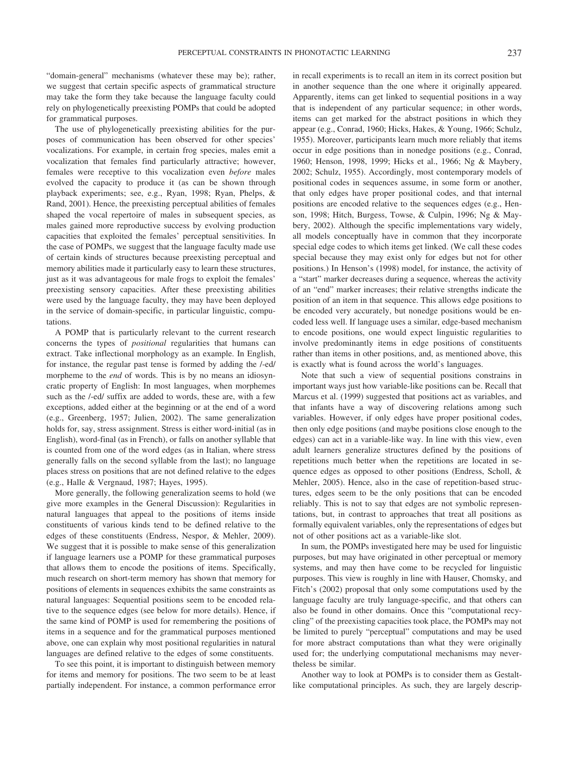"domain-general" mechanisms (whatever these may be); rather, we suggest that certain specific aspects of grammatical structure may take the form they take because the language faculty could rely on phylogenetically preexisting POMPs that could be adopted for grammatical purposes.

The use of phylogenetically preexisting abilities for the purposes of communication has been observed for other species' vocalizations. For example, in certain frog species, males emit a vocalization that females find particularly attractive; however, females were receptive to this vocalization even *before* males evolved the capacity to produce it (as can be shown through playback experiments; see, e.g., Ryan, 1998; Ryan, Phelps, & Rand, 2001). Hence, the preexisting perceptual abilities of females shaped the vocal repertoire of males in subsequent species, as males gained more reproductive success by evolving production capacities that exploited the females' perceptual sensitivities. In the case of POMPs, we suggest that the language faculty made use of certain kinds of structures because preexisting perceptual and memory abilities made it particularly easy to learn these structures, just as it was advantageous for male frogs to exploit the females' preexisting sensory capacities. After these preexisting abilities were used by the language faculty, they may have been deployed in the service of domain-specific, in particular linguistic, computations.

A POMP that is particularly relevant to the current research concerns the types of *positional* regularities that humans can extract. Take inflectional morphology as an example. In English, for instance, the regular past tense is formed by adding the /-ed/ morpheme to the *end* of words. This is by no means an idiosyncratic property of English: In most languages, when morphemes such as the /-ed/ suffix are added to words, these are, with a few exceptions, added either at the beginning or at the end of a word (e.g., Greenberg, 1957; Julien, 2002). The same generalization holds for, say, stress assignment. Stress is either word-initial (as in English), word-final (as in French), or falls on another syllable that is counted from one of the word edges (as in Italian, where stress generally falls on the second syllable from the last); no language places stress on positions that are not defined relative to the edges (e.g., Halle & Vergnaud, 1987; Hayes, 1995).

More generally, the following generalization seems to hold (we give more examples in the General Discussion): Regularities in natural languages that appeal to the positions of items inside constituents of various kinds tend to be defined relative to the edges of these constituents (Endress, Nespor, & Mehler, 2009). We suggest that it is possible to make sense of this generalization if language learners use a POMP for these grammatical purposes that allows them to encode the positions of items. Specifically, much research on short-term memory has shown that memory for positions of elements in sequences exhibits the same constraints as natural languages: Sequential positions seem to be encoded relative to the sequence edges (see below for more details). Hence, if the same kind of POMP is used for remembering the positions of items in a sequence and for the grammatical purposes mentioned above, one can explain why most positional regularities in natural languages are defined relative to the edges of some constituents.

To see this point, it is important to distinguish between memory for items and memory for positions. The two seem to be at least partially independent. For instance, a common performance error in recall experiments is to recall an item in its correct position but in another sequence than the one where it originally appeared. Apparently, items can get linked to sequential positions in a way that is independent of any particular sequence; in other words, items can get marked for the abstract positions in which they appear (e.g., Conrad, 1960; Hicks, Hakes, & Young, 1966; Schulz, 1955). Moreover, participants learn much more reliably that items occur in edge positions than in nonedge positions (e.g., Conrad, 1960; Henson, 1998, 1999; Hicks et al., 1966; Ng & Maybery, 2002; Schulz, 1955). Accordingly, most contemporary models of positional codes in sequences assume, in some form or another, that only edges have proper positional codes, and that internal positions are encoded relative to the sequences edges (e.g., Henson, 1998; Hitch, Burgess, Towse, & Culpin, 1996; Ng & Maybery, 2002). Although the specific implementations vary widely, all models conceptually have in common that they incorporate special edge codes to which items get linked. (We call these codes special because they may exist only for edges but not for other positions.) In Henson's (1998) model, for instance, the activity of a "start" marker decreases during a sequence, whereas the activity of an "end" marker increases; their relative strengths indicate the position of an item in that sequence. This allows edge positions to be encoded very accurately, but nonedge positions would be encoded less well. If language uses a similar, edge-based mechanism to encode positions, one would expect linguistic regularities to involve predominantly items in edge positions of constituents rather than items in other positions, and, as mentioned above, this is exactly what is found across the world's languages.

Note that such a view of sequential positions constrains in important ways just how variable-like positions can be. Recall that Marcus et al. (1999) suggested that positions act as variables, and that infants have a way of discovering relations among such variables. However, if only edges have proper positional codes, then only edge positions (and maybe positions close enough to the edges) can act in a variable-like way. In line with this view, even adult learners generalize structures defined by the positions of repetitions much better when the repetitions are located in sequence edges as opposed to other positions (Endress, Scholl, & Mehler, 2005). Hence, also in the case of repetition-based structures, edges seem to be the only positions that can be encoded reliably. This is not to say that edges are not symbolic representations, but, in contrast to approaches that treat all positions as formally equivalent variables, only the representations of edges but not of other positions act as a variable-like slot.

In sum, the POMPs investigated here may be used for linguistic purposes, but may have originated in other perceptual or memory systems, and may then have come to be recycled for linguistic purposes. This view is roughly in line with Hauser, Chomsky, and Fitch's (2002) proposal that only some computations used by the language faculty are truly language-specific, and that others can also be found in other domains. Once this "computational recycling" of the preexisting capacities took place, the POMPs may not be limited to purely "perceptual" computations and may be used for more abstract computations than what they were originally used for; the underlying computational mechanisms may nevertheless be similar.

Another way to look at POMPs is to consider them as Gestaltlike computational principles. As such, they are largely descrip-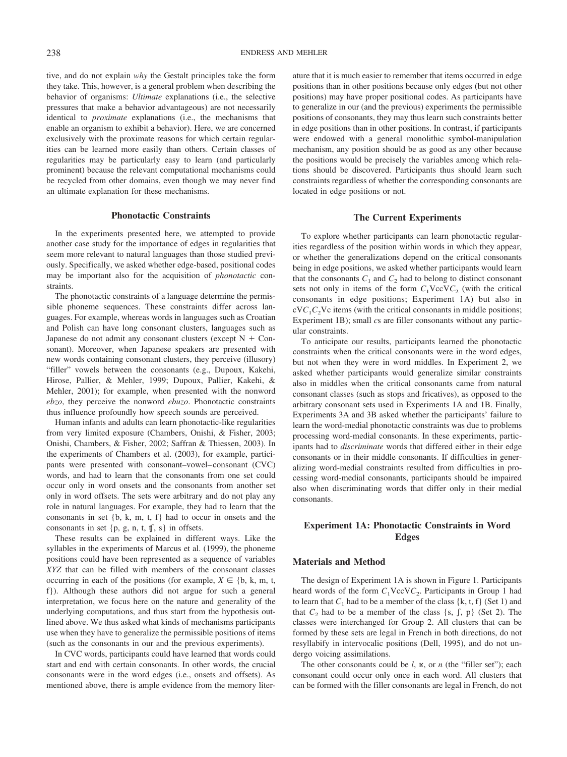tive, and do not explain *why* the Gestalt principles take the form they take. This, however, is a general problem when describing the behavior of organisms: *Ultimate* explanations (i.e., the selective pressures that make a behavior advantageous) are not necessarily identical to *proximate* explanations (i.e., the mechanisms that enable an organism to exhibit a behavior). Here, we are concerned exclusively with the proximate reasons for which certain regularities can be learned more easily than others. Certain classes of regularities may be particularly easy to learn (and particularly prominent) because the relevant computational mechanisms could be recycled from other domains, even though we may never find an ultimate explanation for these mechanisms.

#### **Phonotactic Constraints**

In the experiments presented here, we attempted to provide another case study for the importance of edges in regularities that seem more relevant to natural languages than those studied previously. Specifically, we asked whether edge-based, positional codes may be important also for the acquisition of *phonotactic* constraints.

The phonotactic constraints of a language determine the permissible phoneme sequences. These constraints differ across languages. For example, whereas words in languages such as Croatian and Polish can have long consonant clusters, languages such as Japanese do not admit any consonant clusters (except  $N + Con$ sonant). Moreover, when Japanese speakers are presented with new words containing consonant clusters, they perceive (illusory) "filler" vowels between the consonants (e.g., Dupoux, Kakehi, Hirose, Pallier, & Mehler, 1999; Dupoux, Pallier, Kakehi, & Mehler, 2001); for example, when presented with the nonword *ebzo*, they perceive the nonword *ebuzo*. Phonotactic constraints thus influence profoundly how speech sounds are perceived.

Human infants and adults can learn phonotactic-like regularities from very limited exposure (Chambers, Onishi, & Fisher, 2003; Onishi, Chambers, & Fisher, 2002; Saffran & Thiessen, 2003). In the experiments of Chambers et al. (2003), for example, participants were presented with consonant–vowel– consonant (CVC) words, and had to learn that the consonants from one set could occur only in word onsets and the consonants from another set only in word offsets. The sets were arbitrary and do not play any role in natural languages. For example, they had to learn that the consonants in set {b, k, m, t, f} had to occur in onsets and the consonants in set  $\{p, g, n, t, f\}$ , s} in offsets.

These results can be explained in different ways. Like the syllables in the experiments of Marcus et al. (1999), the phoneme positions could have been represented as a sequence of variables *XYZ* that can be filled with members of the consonant classes occurring in each of the positions (for example,  $X \in \{b, k, m, t,$ f}). Although these authors did not argue for such a general interpretation, we focus here on the nature and generality of the underlying computations, and thus start from the hypothesis outlined above. We thus asked what kinds of mechanisms participants use when they have to generalize the permissible positions of items (such as the consonants in our and the previous experiments).

In CVC words, participants could have learned that words could start and end with certain consonants. In other words, the crucial consonants were in the word edges (i.e., onsets and offsets). As mentioned above, there is ample evidence from the memory literature that it is much easier to remember that items occurred in edge positions than in other positions because only edges (but not other positions) may have proper positional codes. As participants have to generalize in our (and the previous) experiments the permissible positions of consonants, they may thus learn such constraints better in edge positions than in other positions. In contrast, if participants were endowed with a general monolithic symbol-manipulation mechanism, any position should be as good as any other because the positions would be precisely the variables among which relations should be discovered. Participants thus should learn such constraints regardless of whether the corresponding consonants are located in edge positions or not.

#### **The Current Experiments**

To explore whether participants can learn phonotactic regularities regardless of the position within words in which they appear, or whether the generalizations depend on the critical consonants being in edge positions, we asked whether participants would learn that the consonants  $C_1$  and  $C_2$  had to belong to distinct consonant sets not only in items of the form  $C_1$ VccV $C_2$  (with the critical consonants in edge positions; Experiment 1A) but also in  $cVC<sub>1</sub>C<sub>2</sub>Vc$  items (with the critical consonants in middle positions; Experiment 1B); small *c*s are filler consonants without any particular constraints.

To anticipate our results, participants learned the phonotactic constraints when the critical consonants were in the word edges, but not when they were in word middles. In Experiment 2, we asked whether participants would generalize similar constraints also in middles when the critical consonants came from natural consonant classes (such as stops and fricatives), as opposed to the arbitrary consonant sets used in Experiments 1A and 1B. Finally, Experiments 3A and 3B asked whether the participants' failure to learn the word-medial phonotactic constraints was due to problems processing word-medial consonants. In these experiments, participants had to *discriminate* words that differed either in their edge consonants or in their middle consonants. If difficulties in generalizing word-medial constraints resulted from difficulties in processing word-medial consonants, participants should be impaired also when discriminating words that differ only in their medial consonants.

### **Experiment 1A: Phonotactic Constraints in Word Edges**

#### **Materials and Method**

The design of Experiment 1A is shown in Figure 1. Participants heard words of the form  $C_1$ VccV $C_2$ . Participants in Group 1 had to learn that  $C_1$  had to be a member of the class  $\{k, t, f\}$  (Set 1) and that  $C_2$  had to be a member of the class  $\{s, \int, p\}$  (Set 2). The classes were interchanged for Group 2. All clusters that can be formed by these sets are legal in French in both directions, do not resyllabify in intervocalic positions (Dell, 1995), and do not undergo voicing assimilations.

The other consonants could be *l*, ʁ, or *n* (the "filler set"); each consonant could occur only once in each word. All clusters that can be formed with the filler consonants are legal in French, do not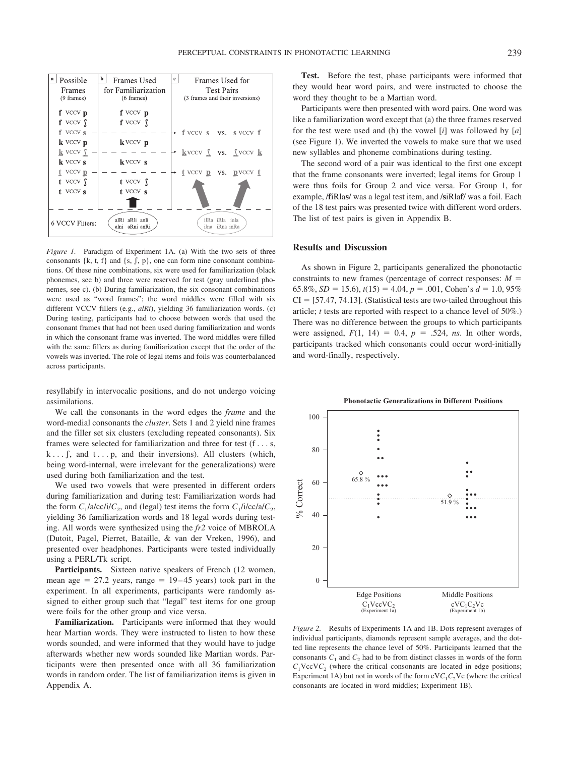

*Figure 1.* Paradigm of Experiment 1A. (a) With the two sets of three consonants  $\{k, t, f\}$  and  $\{s, f, p\}$ , one can form nine consonant combinations. Of these nine combinations, six were used for familiarization (black phonemes, see b) and three were reserved for test (gray underlined phonemes, see c). (b) During familiarization, the six consonant combinations were used as "word frames"; the word middles were filled with six different VCCV fillers (e.g., *alRi*), yielding 36 familiarization words. (c) During testing, participants had to choose between words that used the consonant frames that had not been used during familiarization and words in which the consonant frame was inverted. The word middles were filled with the same fillers as during familiarization except that the order of the vowels was inverted. The role of legal items and foils was counterbalanced across participants.

resyllabify in intervocalic positions, and do not undergo voicing assimilations.

We call the consonants in the word edges the *frame* and the word-medial consonants the *cluster*. Sets 1 and 2 yield nine frames and the filler set six clusters (excluding repeated consonants). Six frames were selected for familiarization and three for test (f . . . s,  $k \ldots$   $\int$ , and  $t \ldots p$ , and their inversions). All clusters (which, being word-internal, were irrelevant for the generalizations) were used during both familiarization and the test.

We used two vowels that were presented in different orders during familiarization and during test: Familiarization words had the form  $C_1/a$ /cc/i/ $C_2$ , and (legal) test items the form  $C_1/i$ /cc/a/ $C_2$ , yielding 36 familiarization words and 18 legal words during testing. All words were synthesized using the *fr2* voice of MBROLA (Dutoit, Pagel, Pierret, Bataille, & van der Vreken, 1996), and presented over headphones. Participants were tested individually using a PERL/Tk script.

Participants. Sixteen native speakers of French (12 women, mean age  $= 27.2$  years, range  $= 19-45$  years) took part in the experiment. In all experiments, participants were randomly assigned to either group such that "legal" test items for one group were foils for the other group and vice versa.

**Familiarization.** Participants were informed that they would hear Martian words. They were instructed to listen to how these words sounded, and were informed that they would have to judge afterwards whether new words sounded like Martian words. Participants were then presented once with all 36 familiarization words in random order. The list of familiarization items is given in Appendix A.

**Test.** Before the test, phase participants were informed that they would hear word pairs, and were instructed to choose the word they thought to be a Martian word.

Participants were then presented with word pairs. One word was like a familiarization word except that (a) the three frames reserved for the test were used and (b) the vowel [*i*] was followed by [*a*] (see Figure 1). We inverted the vowels to make sure that we used new syllables and phoneme combinations during testing.

The second word of a pair was identical to the first one except that the frame consonants were inverted; legal items for Group 1 were thus foils for Group 2 and vice versa. For Group 1, for example, /**f**iRla**s**/ was a legal test item, and /**s**iRla**f**/ was a foil. Each of the 18 test pairs was presented twice with different word orders. The list of test pairs is given in Appendix B.

#### **Results and Discussion**

As shown in Figure 2, participants generalized the phonotactic constraints to new frames (percentage of correct responses:  $M =$  $65.8\%, SD = 15.6$ ,  $t(15) = 4.04$ ,  $p = .001$ , Cohen's  $d = 1.0, 95\%$  $CI = [57.47, 74.13]$ . (Statistical tests are two-tailed throughout this article; *t* tests are reported with respect to a chance level of 50%.) There was no difference between the groups to which participants were assigned,  $F(1, 14) = 0.4$ ,  $p = .524$ , *ns*. In other words, participants tracked which consonants could occur word-initially and word-finally, respectively.





*Figure 2.* Results of Experiments 1A and 1B. Dots represent averages of individual participants, diamonds represent sample averages, and the dotted line represents the chance level of 50%. Participants learned that the consonants  $C_1$  and  $C_2$  had to be from distinct classes in words of the form  $C_1$ VccV $C_2$  (where the critical consonants are located in edge positions; Experiment 1A) but not in words of the form  $cVC<sub>1</sub>C<sub>2</sub>VC$  (where the critical consonants are located in word middles; Experiment 1B).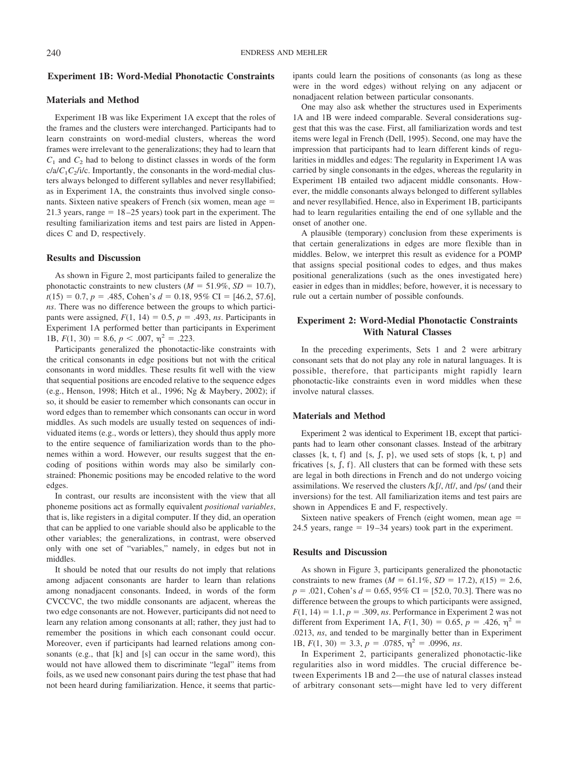#### **Experiment 1B: Word-Medial Phonotactic Constraints**

#### **Materials and Method**

Experiment 1B was like Experiment 1A except that the roles of the frames and the clusters were interchanged. Participants had to learn constraints on word-medial clusters, whereas the word frames were irrelevant to the generalizations; they had to learn that  $C_1$  and  $C_2$  had to belong to distinct classes in words of the form  $c/a/C_1C_2/i/c$ . Importantly, the consonants in the word-medial clusters always belonged to different syllables and never resyllabified; as in Experiment 1A, the constraints thus involved single consonants. Sixteen native speakers of French (six women, mean age  $=$ 21.3 years, range  $= 18-25$  years) took part in the experiment. The resulting familiarization items and test pairs are listed in Appendices C and D, respectively.

#### **Results and Discussion**

As shown in Figure 2, most participants failed to generalize the phonotactic constraints to new clusters  $(M = 51.9\%, SD = 10.7)$ ,  $t(15) = 0.7, p = .485$ , Cohen's  $d = 0.18, 95\%$  CI = [46.2, 57.6], *ns*. There was no difference between the groups to which participants were assigned,  $F(1, 14) = 0.5$ ,  $p = .493$ , *ns*. Participants in Experiment 1A performed better than participants in Experiment 1B,  $F(1, 30) = 8.6$ ,  $p < .007$ ,  $\eta^2 = .223$ .

Participants generalized the phonotactic-like constraints with the critical consonants in edge positions but not with the critical consonants in word middles. These results fit well with the view that sequential positions are encoded relative to the sequence edges (e.g., Henson, 1998; Hitch et al., 1996; Ng & Maybery, 2002); if so, it should be easier to remember which consonants can occur in word edges than to remember which consonants can occur in word middles. As such models are usually tested on sequences of individuated items (e.g., words or letters), they should thus apply more to the entire sequence of familiarization words than to the phonemes within a word. However, our results suggest that the encoding of positions within words may also be similarly constrained: Phonemic positions may be encoded relative to the word edges.

In contrast, our results are inconsistent with the view that all phoneme positions act as formally equivalent *positional variables*, that is, like registers in a digital computer. If they did, an operation that can be applied to one variable should also be applicable to the other variables; the generalizations, in contrast, were observed only with one set of "variables," namely, in edges but not in middles.

It should be noted that our results do not imply that relations among adjacent consonants are harder to learn than relations among nonadjacent consonants. Indeed, in words of the form CVCCVC, the two middle consonants are adjacent, whereas the two edge consonants are not. However, participants did not need to learn any relation among consonants at all; rather, they just had to remember the positions in which each consonant could occur. Moreover, even if participants had learned relations among consonants (e.g., that [k] and [s] can occur in the same word), this would not have allowed them to discriminate "legal" items from foils, as we used new consonant pairs during the test phase that had not been heard during familiarization. Hence, it seems that participants could learn the positions of consonants (as long as these were in the word edges) without relying on any adjacent or nonadjacent relation between particular consonants.

One may also ask whether the structures used in Experiments 1A and 1B were indeed comparable. Several considerations suggest that this was the case. First, all familiarization words and test items were legal in French (Dell, 1995). Second, one may have the impression that participants had to learn different kinds of regularities in middles and edges: The regularity in Experiment 1A was carried by single consonants in the edges, whereas the regularity in Experiment 1B entailed two adjacent middle consonants. However, the middle consonants always belonged to different syllables and never resyllabified. Hence, also in Experiment 1B, participants had to learn regularities entailing the end of one syllable and the onset of another one.

A plausible (temporary) conclusion from these experiments is that certain generalizations in edges are more flexible than in middles. Below, we interpret this result as evidence for a POMP that assigns special positional codes to edges, and thus makes positional generalizations (such as the ones investigated here) easier in edges than in middles; before, however, it is necessary to rule out a certain number of possible confounds.

### **Experiment 2: Word-Medial Phonotactic Constraints With Natural Classes**

In the preceding experiments, Sets 1 and 2 were arbitrary consonant sets that do not play any role in natural languages. It is possible, therefore, that participants might rapidly learn phonotactic-like constraints even in word middles when these involve natural classes.

#### **Materials and Method**

Experiment 2 was identical to Experiment 1B, except that participants had to learn other consonant classes. Instead of the arbitrary classes  $\{k, t, f\}$  and  $\{s, \int, p\}$ , we used sets of stops  $\{k, t, p\}$  and fricatives  $\{s, \int, f\}$ . All clusters that can be formed with these sets are legal in both directions in French and do not undergo voicing assimilations. We reserved the clusters  $/k \int I$ , /tf/, and /ps/ (and their inversions) for the test. All familiarization items and test pairs are shown in Appendices E and F, respectively.

Sixteen native speakers of French (eight women, mean age  $=$  $24.5$  years, range = 19–34 years) took part in the experiment.

#### **Results and Discussion**

As shown in Figure 3, participants generalized the phonotactic constraints to new frames ( $M = 61.1\%$ ,  $SD = 17.2$ ),  $t(15) = 2.6$ ,  $p = 0.021$ , Cohen's  $d = 0.65$ , 95% CI = [52.0, 70.3]. There was no difference between the groups to which participants were assigned,  $F(1, 14) = 1.1, p = .309, ns.$  Performance in Experiment 2 was not different from Experiment 1A,  $F(1, 30) = 0.65$ ,  $p = .426$ ,  $\eta^2 =$ .0213, *ns*, and tended to be marginally better than in Experiment 1B,  $F(1, 30) = 3.3$ ,  $p = .0785$ ,  $\eta^2 = .0996$ , *ns*.

In Experiment 2, participants generalized phonotactic-like regularities also in word middles. The crucial difference between Experiments 1B and 2—the use of natural classes instead of arbitrary consonant sets—might have led to very different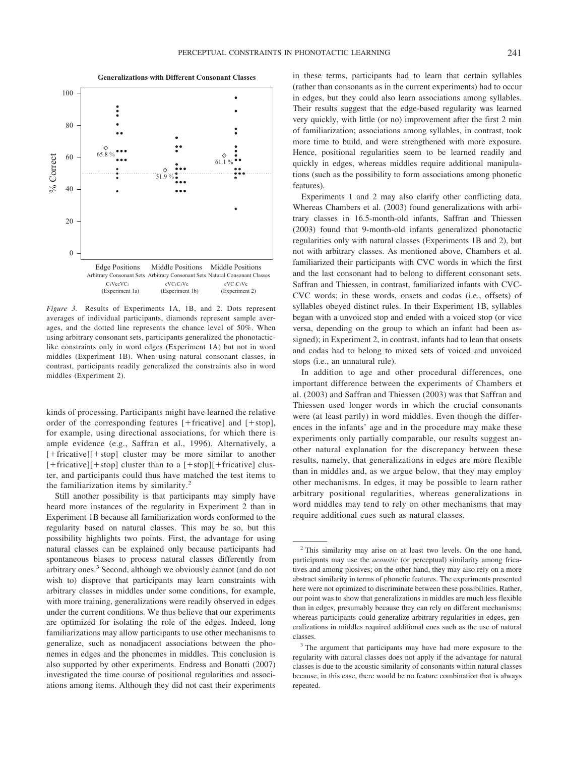

*Figure 3.* Results of Experiments 1A, 1B, and 2. Dots represent averages of individual participants, diamonds represent sample averages, and the dotted line represents the chance level of 50%. When using arbitrary consonant sets, participants generalized the phonotacticlike constraints only in word edges (Experiment 1A) but not in word middles (Experiment 1B). When using natural consonant classes, in contrast, participants readily generalized the constraints also in word middles (Experiment 2).

kinds of processing. Participants might have learned the relative order of the corresponding features  $[+$  fricative] and  $[+$ stop], for example, using directional associations, for which there is ample evidence (e.g., Saffran et al., 1996). Alternatively, a  $[$  + fricative] $[$  + stop] cluster may be more similar to another  $[$  + fricative][+stop] cluster than to a [+stop][+fricative] cluster, and participants could thus have matched the test items to the familiarization items by similarity.<sup>2</sup>

Still another possibility is that participants may simply have heard more instances of the regularity in Experiment 2 than in Experiment 1B because all familiarization words conformed to the regularity based on natural classes. This may be so, but this possibility highlights two points. First, the advantage for using natural classes can be explained only because participants had spontaneous biases to process natural classes differently from arbitrary ones.<sup>3</sup> Second, although we obviously cannot (and do not wish to) disprove that participants may learn constraints with arbitrary classes in middles under some conditions, for example, with more training, generalizations were readily observed in edges under the current conditions. We thus believe that our experiments are optimized for isolating the role of the edges. Indeed, long familiarizations may allow participants to use other mechanisms to generalize, such as nonadjacent associations between the phonemes in edges and the phonemes in middles. This conclusion is also supported by other experiments. Endress and Bonatti (2007) investigated the time course of positional regularities and associations among items. Although they did not cast their experiments in these terms, participants had to learn that certain syllables (rather than consonants as in the current experiments) had to occur in edges, but they could also learn associations among syllables. Their results suggest that the edge-based regularity was learned very quickly, with little (or no) improvement after the first 2 min of familiarization; associations among syllables, in contrast, took more time to build, and were strengthened with more exposure. Hence, positional regularities seem to be learned readily and quickly in edges, whereas middles require additional manipulations (such as the possibility to form associations among phonetic features).

Experiments 1 and 2 may also clarify other conflicting data. Whereas Chambers et al. (2003) found generalizations with arbitrary classes in 16.5-month-old infants, Saffran and Thiessen (2003) found that 9-month-old infants generalized phonotactic regularities only with natural classes (Experiments 1B and 2), but not with arbitrary classes. As mentioned above, Chambers et al. familiarized their participants with CVC words in which the first and the last consonant had to belong to different consonant sets. Saffran and Thiessen, in contrast, familiarized infants with CVC-CVC words; in these words, onsets and codas (i.e., offsets) of syllables obeyed distinct rules. In their Experiment 1B, syllables began with a unvoiced stop and ended with a voiced stop (or vice versa, depending on the group to which an infant had been assigned); in Experiment 2, in contrast, infants had to lean that onsets and codas had to belong to mixed sets of voiced and unvoiced stops (i.e., an unnatural rule).

In addition to age and other procedural differences, one important difference between the experiments of Chambers et al. (2003) and Saffran and Thiessen (2003) was that Saffran and Thiessen used longer words in which the crucial consonants were (at least partly) in word middles. Even though the differences in the infants' age and in the procedure may make these experiments only partially comparable, our results suggest another natural explanation for the discrepancy between these results, namely, that generalizations in edges are more flexible than in middles and, as we argue below, that they may employ other mechanisms. In edges, it may be possible to learn rather arbitrary positional regularities, whereas generalizations in word middles may tend to rely on other mechanisms that may require additional cues such as natural classes.

<sup>&</sup>lt;sup>2</sup> This similarity may arise on at least two levels. On the one hand, participants may use the *acoustic* (or perceptual) similarity among fricatives and among plosives; on the other hand, they may also rely on a more abstract similarity in terms of phonetic features. The experiments presented here were not optimized to discriminate between these possibilities. Rather, our point was to show that generalizations in middles are much less flexible than in edges, presumably because they can rely on different mechanisms; whereas participants could generalize arbitrary regularities in edges, generalizations in middles required additional cues such as the use of natural classes.

<sup>&</sup>lt;sup>3</sup> The argument that participants may have had more exposure to the regularity with natural classes does not apply if the advantage for natural classes is due to the acoustic similarity of consonants within natural classes because, in this case, there would be no feature combination that is always repeated.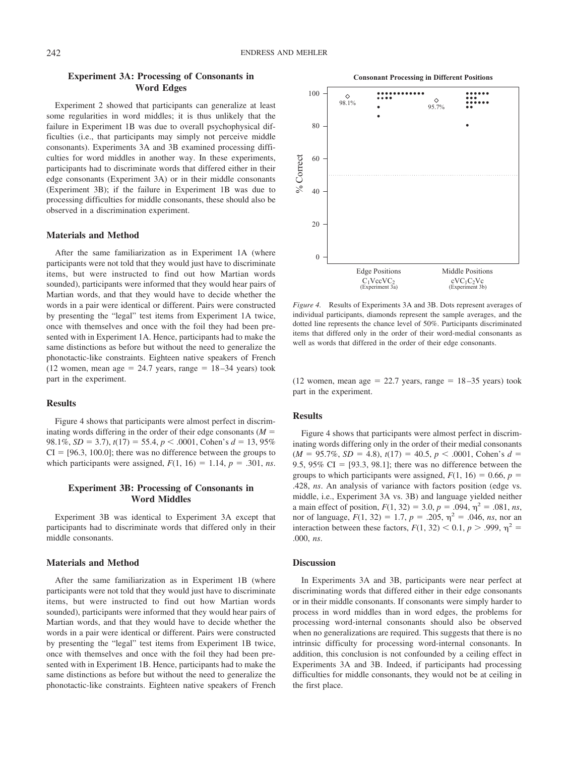### **Experiment 3A: Processing of Consonants in Word Edges**

Experiment 2 showed that participants can generalize at least some regularities in word middles; it is thus unlikely that the failure in Experiment 1B was due to overall psychophysical difficulties (i.e., that participants may simply not perceive middle consonants). Experiments 3A and 3B examined processing difficulties for word middles in another way. In these experiments, participants had to discriminate words that differed either in their edge consonants (Experiment 3A) or in their middle consonants (Experiment 3B); if the failure in Experiment 1B was due to processing difficulties for middle consonants, these should also be observed in a discrimination experiment.

#### **Materials and Method**

After the same familiarization as in Experiment 1A (where participants were not told that they would just have to discriminate items, but were instructed to find out how Martian words sounded), participants were informed that they would hear pairs of Martian words, and that they would have to decide whether the words in a pair were identical or different. Pairs were constructed by presenting the "legal" test items from Experiment 1A twice, once with themselves and once with the foil they had been presented with in Experiment 1A. Hence, participants had to make the same distinctions as before but without the need to generalize the phonotactic-like constraints. Eighteen native speakers of French  $(12$  women, mean age = 24.7 years, range = 18–34 years) took part in the experiment.

#### **Results**

Figure 4 shows that participants were almost perfect in discriminating words differing in the order of their edge consonants  $(M =$ 98.1%,  $SD = 3.7$ ),  $t(17) = 55.4$ ,  $p < .0001$ , Cohen's  $d = 13,95\%$  $CI = [96.3, 100.0]$ ; there was no difference between the groups to which participants were assigned,  $F(1, 16) = 1.14$ ,  $p = .301$ , *ns*.

### **Experiment 3B: Processing of Consonants in Word Middles**

Experiment 3B was identical to Experiment 3A except that participants had to discriminate words that differed only in their middle consonants.

#### **Materials and Method**

After the same familiarization as in Experiment 1B (where participants were not told that they would just have to discriminate items, but were instructed to find out how Martian words sounded), participants were informed that they would hear pairs of Martian words, and that they would have to decide whether the words in a pair were identical or different. Pairs were constructed by presenting the "legal" test items from Experiment 1B twice, once with themselves and once with the foil they had been presented with in Experiment 1B. Hence, participants had to make the same distinctions as before but without the need to generalize the phonotactic-like constraints. Eighteen native speakers of French



*Figure 4.* Results of Experiments 3A and 3B. Dots represent averages of individual participants, diamonds represent the sample averages, and the dotted line represents the chance level of 50%. Participants discriminated items that differed only in the order of their word-medial consonants as well as words that differed in the order of their edge consonants.

 $(12$  women, mean age = 22.7 years, range = 18–35 years) took part in the experiment.

#### **Results**

Figure 4 shows that participants were almost perfect in discriminating words differing only in the order of their medial consonants  $(M = 95.7\%, SD = 4.8), t(17) = 40.5, p < .0001$ , Cohen's  $d =$ 9.5, 95% CI =  $[93.3, 98.1]$ ; there was no difference between the groups to which participants were assigned,  $F(1, 16) = 0.66$ ,  $p =$ .428, *ns*. An analysis of variance with factors position (edge vs. middle, i.e., Experiment 3A vs. 3B) and language yielded neither a main effect of position,  $F(1, 32) = 3.0, p = .094, \eta^2 = .081, ns$ , nor of language,  $F(1, 32) = 1.7$ ,  $p = .205$ ,  $\eta^2 = .046$ , *ns*, nor an interaction between these factors,  $F(1, 32) < 0.1$ ,  $p > .999$ ,  $\eta^2 =$ .000, *ns*.

#### **Discussion**

In Experiments 3A and 3B, participants were near perfect at discriminating words that differed either in their edge consonants or in their middle consonants. If consonants were simply harder to process in word middles than in word edges, the problems for processing word-internal consonants should also be observed when no generalizations are required. This suggests that there is no intrinsic difficulty for processing word-internal consonants. In addition, this conclusion is not confounded by a ceiling effect in Experiments 3A and 3B. Indeed, if participants had processing difficulties for middle consonants, they would not be at ceiling in the first place.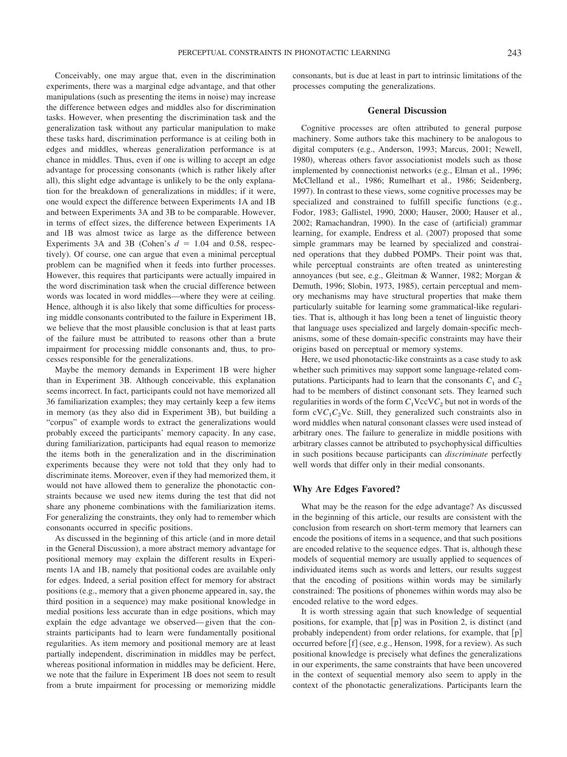Conceivably, one may argue that, even in the discrimination experiments, there was a marginal edge advantage, and that other manipulations (such as presenting the items in noise) may increase the difference between edges and middles also for discrimination tasks. However, when presenting the discrimination task and the generalization task without any particular manipulation to make these tasks hard, discrimination performance is at ceiling both in edges and middles, whereas generalization performance is at chance in middles. Thus, even if one is willing to accept an edge advantage for processing consonants (which is rather likely after all), this slight edge advantage is unlikely to be the only explanation for the breakdown of generalizations in middles; if it were, one would expect the difference between Experiments 1A and 1B and between Experiments 3A and 3B to be comparable. However, in terms of effect sizes, the difference between Experiments 1A and 1B was almost twice as large as the difference between Experiments 3A and 3B (Cohen's  $d = 1.04$  and 0.58, respectively). Of course, one can argue that even a minimal perceptual problem can be magnified when it feeds into further processes. However, this requires that participants were actually impaired in the word discrimination task when the crucial difference between words was located in word middles—where they were at ceiling. Hence, although it is also likely that some difficulties for processing middle consonants contributed to the failure in Experiment 1B, we believe that the most plausible conclusion is that at least parts of the failure must be attributed to reasons other than a brute impairment for processing middle consonants and, thus, to processes responsible for the generalizations.

Maybe the memory demands in Experiment 1B were higher than in Experiment 3B. Although conceivable, this explanation seems incorrect. In fact, participants could not have memorized all 36 familiarization examples; they may certainly keep a few items in memory (as they also did in Experiment 3B), but building a "corpus" of example words to extract the generalizations would probably exceed the participants' memory capacity. In any case, during familiarization, participants had equal reason to memorize the items both in the generalization and in the discrimination experiments because they were not told that they only had to discriminate items. Moreover, even if they had memorized them, it would not have allowed them to generalize the phonotactic constraints because we used new items during the test that did not share any phoneme combinations with the familiarization items. For generalizing the constraints, they only had to remember which consonants occurred in specific positions.

As discussed in the beginning of this article (and in more detail in the General Discussion), a more abstract memory advantage for positional memory may explain the different results in Experiments 1A and 1B, namely that positional codes are available only for edges. Indeed, a serial position effect for memory for abstract positions (e.g., memory that a given phoneme appeared in, say, the third position in a sequence) may make positional knowledge in medial positions less accurate than in edge positions, which may explain the edge advantage we observed— given that the constraints participants had to learn were fundamentally positional regularities. As item memory and positional memory are at least partially independent, discrimination in middles may be perfect, whereas positional information in middles may be deficient. Here, we note that the failure in Experiment 1B does not seem to result from a brute impairment for processing or memorizing middle consonants, but is due at least in part to intrinsic limitations of the processes computing the generalizations.

### **General Discussion**

Cognitive processes are often attributed to general purpose machinery. Some authors take this machinery to be analogous to digital computers (e.g., Anderson, 1993; Marcus, 2001; Newell, 1980), whereas others favor associationist models such as those implemented by connectionist networks (e.g., Elman et al., 1996; McClelland et al., 1986; Rumelhart et al., 1986; Seidenberg, 1997). In contrast to these views, some cognitive processes may be specialized and constrained to fulfill specific functions (e.g., Fodor, 1983; Gallistel, 1990, 2000; Hauser, 2000; Hauser et al., 2002; Ramachandran, 1990). In the case of (artificial) grammar learning, for example, Endress et al. (2007) proposed that some simple grammars may be learned by specialized and constrained operations that they dubbed POMPs. Their point was that, while perceptual constraints are often treated as uninteresting annoyances (but see, e.g., Gleitman & Wanner, 1982; Morgan & Demuth, 1996; Slobin, 1973, 1985), certain perceptual and memory mechanisms may have structural properties that make them particularly suitable for learning some grammatical-like regularities. That is, although it has long been a tenet of linguistic theory that language uses specialized and largely domain-specific mechanisms, some of these domain-specific constraints may have their origins based on perceptual or memory systems.

Here, we used phonotactic-like constraints as a case study to ask whether such primitives may support some language-related computations. Participants had to learn that the consonants  $C_1$  and  $C_2$ had to be members of distinct consonant sets. They learned such regularities in words of the form  $C_1$ VccV $C_2$  but not in words of the form  $cVC_1C_2Vc$ . Still, they generalized such constraints also in word middles when natural consonant classes were used instead of arbitrary ones. The failure to generalize in middle positions with arbitrary classes cannot be attributed to psychophysical difficulties in such positions because participants can *discriminate* perfectly well words that differ only in their medial consonants.

#### **Why Are Edges Favored?**

What may be the reason for the edge advantage? As discussed in the beginning of this article, our results are consistent with the conclusion from research on short-term memory that learners can encode the positions of items in a sequence, and that such positions are encoded relative to the sequence edges. That is, although these models of sequential memory are usually applied to sequences of individuated items such as words and letters, our results suggest that the encoding of positions within words may be similarly constrained: The positions of phonemes within words may also be encoded relative to the word edges.

It is worth stressing again that such knowledge of sequential positions, for example, that  $[p]$  was in Position 2, is distinct (and probably independent) from order relations, for example, that  $[p]$ occurred before  $[f]$  (see, e.g., Henson, 1998, for a review). As such positional knowledge is precisely what defines the generalizations in our experiments, the same constraints that have been uncovered in the context of sequential memory also seem to apply in the context of the phonotactic generalizations. Participants learn the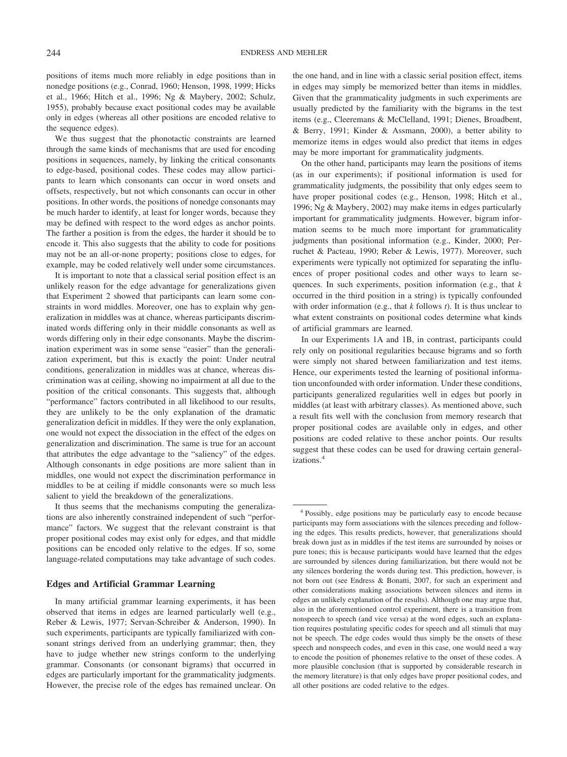positions of items much more reliably in edge positions than in nonedge positions (e.g., Conrad, 1960; Henson, 1998, 1999; Hicks et al., 1966; Hitch et al., 1996; Ng & Maybery, 2002; Schulz, 1955), probably because exact positional codes may be available only in edges (whereas all other positions are encoded relative to the sequence edges).

We thus suggest that the phonotactic constraints are learned through the same kinds of mechanisms that are used for encoding positions in sequences, namely, by linking the critical consonants to edge-based, positional codes. These codes may allow participants to learn which consonants can occur in word onsets and offsets, respectively, but not which consonants can occur in other positions. In other words, the positions of nonedge consonants may be much harder to identify, at least for longer words, because they may be defined with respect to the word edges as anchor points. The farther a position is from the edges, the harder it should be to encode it. This also suggests that the ability to code for positions may not be an all-or-none property; positions close to edges, for example, may be coded relatively well under some circumstances.

It is important to note that a classical serial position effect is an unlikely reason for the edge advantage for generalizations given that Experiment 2 showed that participants can learn some constraints in word middles. Moreover, one has to explain why generalization in middles was at chance, whereas participants discriminated words differing only in their middle consonants as well as words differing only in their edge consonants. Maybe the discrimination experiment was in some sense "easier" than the generalization experiment, but this is exactly the point: Under neutral conditions, generalization in middles was at chance, whereas discrimination was at ceiling, showing no impairment at all due to the position of the critical consonants. This suggests that, although "performance" factors contributed in all likelihood to our results, they are unlikely to be the only explanation of the dramatic generalization deficit in middles. If they were the only explanation, one would not expect the dissociation in the effect of the edges on generalization and discrimination. The same is true for an account that attributes the edge advantage to the "saliency" of the edges. Although consonants in edge positions are more salient than in middles, one would not expect the discrimination performance in middles to be at ceiling if middle consonants were so much less salient to yield the breakdown of the generalizations.

It thus seems that the mechanisms computing the generalizations are also inherently constrained independent of such "performance" factors. We suggest that the relevant constraint is that proper positional codes may exist only for edges, and that middle positions can be encoded only relative to the edges. If so, some language-related computations may take advantage of such codes.

#### **Edges and Artificial Grammar Learning**

In many artificial grammar learning experiments, it has been observed that items in edges are learned particularly well (e.g., Reber & Lewis, 1977; Servan-Schreiber & Anderson, 1990). In such experiments, participants are typically familiarized with consonant strings derived from an underlying grammar; then, they have to judge whether new strings conform to the underlying grammar. Consonants (or consonant bigrams) that occurred in edges are particularly important for the grammaticality judgments. However, the precise role of the edges has remained unclear. On the one hand, and in line with a classic serial position effect, items in edges may simply be memorized better than items in middles. Given that the grammaticality judgments in such experiments are usually predicted by the familiarity with the bigrams in the test items (e.g., Cleeremans & McClelland, 1991; Dienes, Broadbent, & Berry, 1991; Kinder & Assmann, 2000), a better ability to memorize items in edges would also predict that items in edges may be more important for grammaticality judgments.

On the other hand, participants may learn the positions of items (as in our experiments); if positional information is used for grammaticality judgments, the possibility that only edges seem to have proper positional codes (e.g., Henson, 1998; Hitch et al., 1996; Ng & Maybery, 2002) may make items in edges particularly important for grammaticality judgments. However, bigram information seems to be much more important for grammaticality judgments than positional information (e.g., Kinder, 2000; Perruchet & Pacteau, 1990; Reber & Lewis, 1977). Moreover, such experiments were typically not optimized for separating the influences of proper positional codes and other ways to learn sequences. In such experiments, position information (e.g., that *k* occurred in the third position in a string) is typically confounded with order information (e.g., that *k* follows *t*). It is thus unclear to what extent constraints on positional codes determine what kinds of artificial grammars are learned.

In our Experiments 1A and 1B, in contrast, participants could rely only on positional regularities because bigrams and so forth were simply not shared between familiarization and test items. Hence, our experiments tested the learning of positional information unconfounded with order information. Under these conditions, participants generalized regularities well in edges but poorly in middles (at least with arbitrary classes). As mentioned above, such a result fits well with the conclusion from memory research that proper positional codes are available only in edges, and other positions are coded relative to these anchor points. Our results suggest that these codes can be used for drawing certain generalizations.4

<sup>4</sup> Possibly, edge positions may be particularly easy to encode because participants may form associations with the silences preceding and following the edges. This results predicts, however, that generalizations should break down just as in middles if the test items are surrounded by noises or pure tones; this is because participants would have learned that the edges are surrounded by silences during familiarization, but there would not be any silences bordering the words during test. This prediction, however, is not born out (see Endress & Bonatti, 2007, for such an experiment and other considerations making associations between silences and items in edges an unlikely explanation of the results). Although one may argue that, also in the aforementioned control experiment, there is a transition from nonspeech to speech (and vice versa) at the word edges, such an explanation requires postulating specific codes for speech and all stimuli that may not be speech. The edge codes would thus simply be the onsets of these speech and nonspeech codes, and even in this case, one would need a way to encode the position of phonemes relative to the onset of these codes. A more plausible conclusion (that is supported by considerable research in the memory literature) is that only edges have proper positional codes, and all other positions are coded relative to the edges.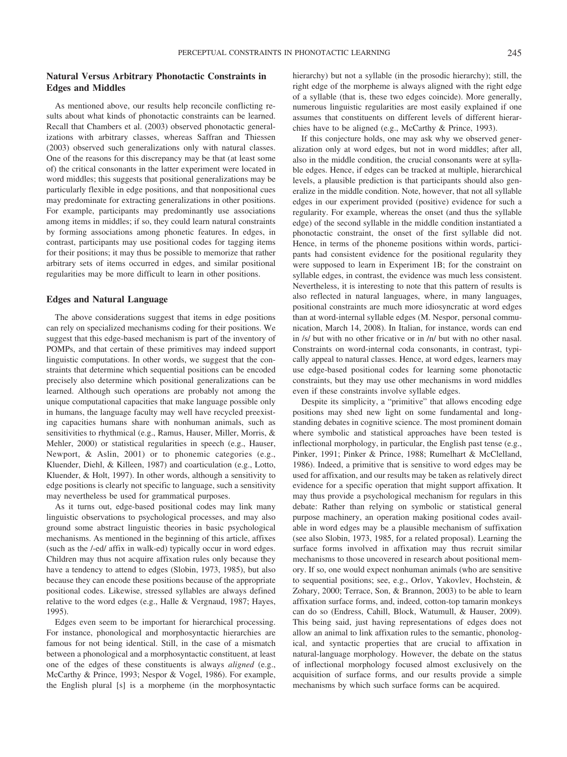### **Natural Versus Arbitrary Phonotactic Constraints in Edges and Middles**

As mentioned above, our results help reconcile conflicting results about what kinds of phonotactic constraints can be learned. Recall that Chambers et al. (2003) observed phonotactic generalizations with arbitrary classes, whereas Saffran and Thiessen (2003) observed such generalizations only with natural classes. One of the reasons for this discrepancy may be that (at least some of) the critical consonants in the latter experiment were located in word middles; this suggests that positional generalizations may be particularly flexible in edge positions, and that nonpositional cues may predominate for extracting generalizations in other positions. For example, participants may predominantly use associations among items in middles; if so, they could learn natural constraints by forming associations among phonetic features. In edges, in contrast, participants may use positional codes for tagging items for their positions; it may thus be possible to memorize that rather arbitrary sets of items occurred in edges, and similar positional regularities may be more difficult to learn in other positions.

#### **Edges and Natural Language**

The above considerations suggest that items in edge positions can rely on specialized mechanisms coding for their positions. We suggest that this edge-based mechanism is part of the inventory of POMPs, and that certain of these primitives may indeed support linguistic computations. In other words, we suggest that the constraints that determine which sequential positions can be encoded precisely also determine which positional generalizations can be learned. Although such operations are probably not among the unique computational capacities that make language possible only in humans, the language faculty may well have recycled preexisting capacities humans share with nonhuman animals, such as sensitivities to rhythmical (e.g., Ramus, Hauser, Miller, Morris, & Mehler, 2000) or statistical regularities in speech (e.g., Hauser, Newport, & Aslin, 2001) or to phonemic categories (e.g., Kluender, Diehl, & Killeen, 1987) and coarticulation (e.g., Lotto, Kluender, & Holt, 1997). In other words, although a sensitivity to edge positions is clearly not specific to language, such a sensitivity may nevertheless be used for grammatical purposes.

As it turns out, edge-based positional codes may link many linguistic observations to psychological processes, and may also ground some abstract linguistic theories in basic psychological mechanisms. As mentioned in the beginning of this article, affixes (such as the /-ed/ affix in walk-ed) typically occur in word edges. Children may thus not acquire affixation rules only because they have a tendency to attend to edges (Slobin, 1973, 1985), but also because they can encode these positions because of the appropriate positional codes. Likewise, stressed syllables are always defined relative to the word edges (e.g., Halle & Vergnaud, 1987; Hayes, 1995).

Edges even seem to be important for hierarchical processing. For instance, phonological and morphosyntactic hierarchies are famous for not being identical. Still, in the case of a mismatch between a phonological and a morphosyntactic constituent, at least one of the edges of these constituents is always *aligned* (e.g., McCarthy & Prince, 1993; Nespor & Vogel, 1986). For example, the English plural [s] is a morpheme (in the morphosyntactic

hierarchy) but not a syllable (in the prosodic hierarchy); still, the right edge of the morpheme is always aligned with the right edge of a syllable (that is, these two edges coincide). More generally, numerous linguistic regularities are most easily explained if one assumes that constituents on different levels of different hierarchies have to be aligned (e.g., McCarthy & Prince, 1993).

If this conjecture holds, one may ask why we observed generalization only at word edges, but not in word middles; after all, also in the middle condition, the crucial consonants were at syllable edges. Hence, if edges can be tracked at multiple, hierarchical levels, a plausible prediction is that participants should also generalize in the middle condition. Note, however, that not all syllable edges in our experiment provided (positive) evidence for such a regularity. For example, whereas the onset (and thus the syllable edge) of the second syllable in the middle condition instantiated a phonotactic constraint, the onset of the first syllable did not. Hence, in terms of the phoneme positions within words, participants had consistent evidence for the positional regularity they were supposed to learn in Experiment 1B; for the constraint on syllable edges, in contrast, the evidence was much less consistent. Nevertheless, it is interesting to note that this pattern of results is also reflected in natural languages, where, in many languages, positional constraints are much more idiosyncratic at word edges than at word-internal syllable edges (M. Nespor, personal communication, March 14, 2008). In Italian, for instance, words can end in /s/ but with no other fricative or in /n/ but with no other nasal. Constraints on word-internal coda consonants, in contrast, typically appeal to natural classes. Hence, at word edges, learners may use edge-based positional codes for learning some phonotactic constraints, but they may use other mechanisms in word middles even if these constraints involve syllable edges.

Despite its simplicity, a "primitive" that allows encoding edge positions may shed new light on some fundamental and longstanding debates in cognitive science. The most prominent domain where symbolic and statistical approaches have been tested is inflectional morphology, in particular, the English past tense (e.g., Pinker, 1991; Pinker & Prince, 1988; Rumelhart & McClelland, 1986). Indeed, a primitive that is sensitive to word edges may be used for affixation, and our results may be taken as relatively direct evidence for a specific operation that might support affixation. It may thus provide a psychological mechanism for regulars in this debate: Rather than relying on symbolic or statistical general purpose machinery, an operation making positional codes available in word edges may be a plausible mechanism of suffixation (see also Slobin, 1973, 1985, for a related proposal). Learning the surface forms involved in affixation may thus recruit similar mechanisms to those uncovered in research about positional memory. If so, one would expect nonhuman animals (who are sensitive to sequential positions; see, e.g., Orlov, Yakovlev, Hochstein, & Zohary, 2000; Terrace, Son, & Brannon, 2003) to be able to learn affixation surface forms, and, indeed, cotton-top tamarin monkeys can do so (Endress, Cahill, Block, Watumull, & Hauser, 2009). This being said, just having representations of edges does not allow an animal to link affixation rules to the semantic, phonological, and syntactic properties that are crucial to affixation in natural-language morphology. However, the debate on the status of inflectional morphology focused almost exclusively on the acquisition of surface forms, and our results provide a simple mechanisms by which such surface forms can be acquired.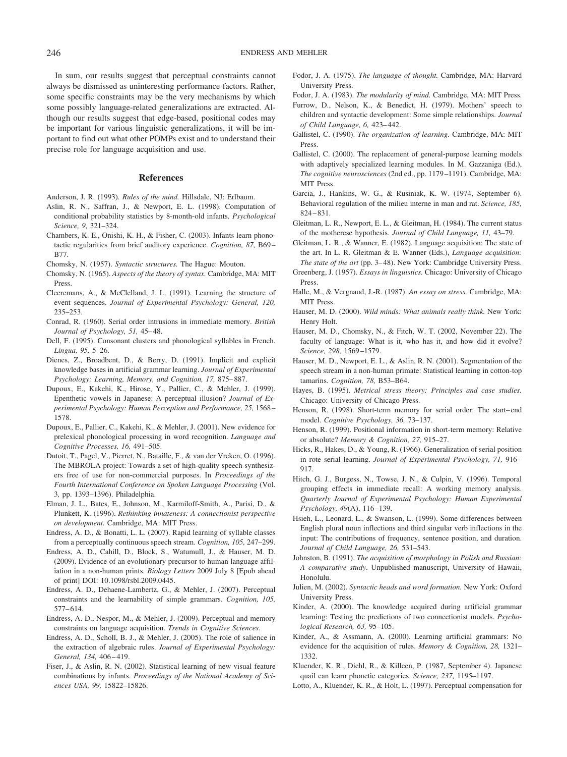In sum, our results suggest that perceptual constraints cannot always be dismissed as uninteresting performance factors. Rather, some specific constraints may be the very mechanisms by which some possibly language-related generalizations are extracted. Although our results suggest that edge-based, positional codes may be important for various linguistic generalizations, it will be important to find out what other POMPs exist and to understand their precise role for language acquisition and use.

#### **References**

Anderson, J. R. (1993). *Rules of the mind.* Hillsdale, NJ: Erlbaum.

- Aslin, R. N., Saffran, J., & Newport, E. L. (1998). Computation of conditional probability statistics by 8-month-old infants. *Psychological Science, 9,* 321–324.
- Chambers, K. E., Onishi, K. H., & Fisher, C. (2003). Infants learn phonotactic regularities from brief auditory experience. *Cognition, 87,* B69 – B77.
- Chomsky, N. (1957). *Syntactic structures.* The Hague: Mouton.
- Chomsky, N. (1965). *Aspects of the theory of syntax.* Cambridge, MA: MIT Press.
- Cleeremans, A., & McClelland, J. L. (1991). Learning the structure of event sequences. *Journal of Experimental Psychology: General, 120,* 235–253.
- Conrad, R. (1960). Serial order intrusions in immediate memory. *British Journal of Psychology, 51,* 45– 48.
- Dell, F. (1995). Consonant clusters and phonological syllables in French. *Lingua, 95,* 5–26.
- Dienes, Z., Broadbent, D., & Berry, D. (1991). Implicit and explicit knowledge bases in artificial grammar learning. *Journal of Experimental Psychology: Learning, Memory, and Cognition, 17,* 875– 887.
- Dupoux, E., Kakehi, K., Hirose, Y., Pallier, C., & Mehler, J. (1999). Epenthetic vowels in Japanese: A perceptual illusion? *Journal of Experimental Psychology: Human Perception and Performance, 25,* 1568 – 1578.
- Dupoux, E., Pallier, C., Kakehi, K., & Mehler, J. (2001). New evidence for prelexical phonological processing in word recognition. *Language and Cognitive Processes, 16,* 491–505.
- Dutoit, T., Pagel, V., Pierret, N., Bataille, F., & van der Vreken, O. (1996). The MBROLA project: Towards a set of high-quality speech synthesizers free of use for non-commercial purposes. In *Proceedings of the Fourth International Conference on Spoken Language Processing* (Vol. 3*,* pp. 1393–1396). Philadelphia.
- Elman, J. L., Bates, E., Johnson, M., Karmiloff-Smith, A., Parisi, D., & Plunkett, K. (1996). *Rethinking innateness: A connectionist perspective on development.* Cambridge, MA: MIT Press.
- Endress, A. D., & Bonatti, L. L. (2007). Rapid learning of syllable classes from a perceptually continuous speech stream. *Cognition, 105,* 247–299.
- Endress, A. D., Cahill, D., Block, S., Watumull, J., & Hauser, M. D. (2009). Evidence of an evolutionary precursor to human language affiliation in a non-human prints. *Biology Letters* 2009 July 8 [Epub ahead of print] DOI: 10.1098/rsbl.2009.0445.
- Endress, A. D., Dehaene-Lambertz, G., & Mehler, J. (2007). Perceptual constraints and the learnability of simple grammars. *Cognition, 105,* 577– 614.
- Endress, A. D., Nespor, M., & Mehler, J. (2009). Perceptual and memory constraints on language acquisition. *Trends in Cognitive Sciences.*
- Endress, A. D., Scholl, B. J., & Mehler, J. (2005). The role of salience in the extraction of algebraic rules. *Journal of Experimental Psychology: General, 134,* 406 – 419.
- Fiser, J., & Aslin, R. N. (2002). Statistical learning of new visual feature combinations by infants. *Proceedings of the National Academy of Sciences USA, 99,* 15822–15826.
- Fodor, J. A. (1975). *The language of thought.* Cambridge, MA: Harvard University Press.
- Fodor, J. A. (1983). *The modularity of mind.* Cambridge, MA: MIT Press.
- Furrow, D., Nelson, K., & Benedict, H. (1979). Mothers' speech to children and syntactic development: Some simple relationships. *Journal of Child Language, 6,* 423– 442.
- Gallistel, C. (1990). *The organization of learning.* Cambridge, MA: MIT Press.
- Gallistel, C. (2000). The replacement of general-purpose learning models with adaptively specialized learning modules. In M. Gazzaniga (Ed.), *The cognitive neurosciences* (2nd ed., pp. 1179 –1191). Cambridge, MA: MIT Press.
- Garcia, J., Hankins, W. G., & Rusiniak, K. W. (1974, September 6). Behavioral regulation of the milieu interne in man and rat. *Science, 185,* 824 – 831.
- Gleitman, L. R., Newport, E. L., & Gleitman, H. (1984). The current status of the motherese hypothesis. *Journal of Child Language, 11,* 43–79.
- Gleitman, L. R., & Wanner, E. (1982). Language acquisition: The state of the art. In L. R. Gleitman & E. Wanner (Eds.), *Language acquisition: The state of the art* (pp. 3–48). New York: Cambridge University Press.
- Greenberg, J. (1957). *Essays in linguistics.* Chicago: University of Chicago Press.
- Halle, M., & Vergnaud, J.-R. (1987). *An essay on stress.* Cambridge, MA: MIT Press.
- Hauser, M. D. (2000). *Wild minds: What animals really think.* New York: Henry Holt.
- Hauser, M. D., Chomsky, N., & Fitch, W. T. (2002, November 22). The faculty of language: What is it, who has it, and how did it evolve? *Science, 298,* 1569 –1579.
- Hauser, M. D., Newport, E. L., & Aslin, R. N. (2001). Segmentation of the speech stream in a non-human primate: Statistical learning in cotton-top tamarins. *Cognition, 78,* B53–B64.
- Hayes, B. (1995). *Metrical stress theory: Principles and case studies.* Chicago: University of Chicago Press.
- Henson, R. (1998). Short-term memory for serial order: The start-end model. *Cognitive Psychology, 36,* 73–137.
- Henson, R. (1999). Positional information in short-term memory: Relative or absolute? *Memory & Cognition, 27,* 915–27.
- Hicks, R., Hakes, D., & Young, R. (1966). Generalization of serial position in rote serial learning. *Journal of Experimental Psychology, 71,* 916 – 917.
- Hitch, G. J., Burgess, N., Towse, J. N., & Culpin, V. (1996). Temporal grouping effects in immediate recall: A working memory analysis. *Quarterly Journal of Experimental Psychology: Human Experimental Psychology, 49*(A), 116 –139.
- Hsieh, L., Leonard, L., & Swanson, L. (1999). Some differences between English plural noun inflections and third singular verb inflections in the input: The contributions of frequency, sentence position, and duration. *Journal of Child Language, 26,* 531–543.
- Johnston, B. (1991). *The acquisition of morphology in Polish and Russian: A comparative study*. Unpublished manuscript, University of Hawaii, Honolulu.
- Julien, M. (2002). *Syntactic heads and word formation.* New York: Oxford University Press.
- Kinder, A. (2000). The knowledge acquired during artificial grammar learning: Testing the predictions of two connectionist models. *Psychological Research, 63,* 95–105.
- Kinder, A., & Assmann, A. (2000). Learning artificial grammars: No evidence for the acquisition of rules. *Memory & Cognition, 28,* 1321– 1332.
- Kluender, K. R., Diehl, R., & Killeen, P. (1987, September 4). Japanese quail can learn phonetic categories. *Science, 237,* 1195–1197.
- Lotto, A., Kluender, K. R., & Holt, L. (1997). Perceptual compensation for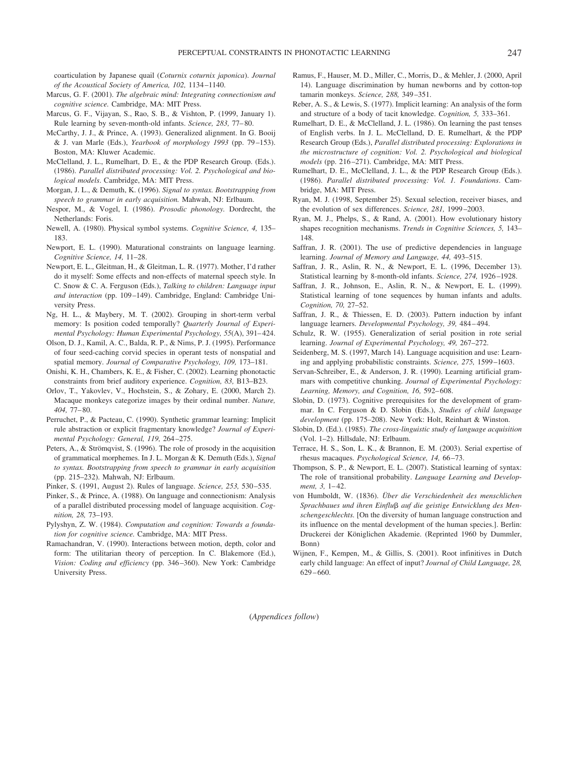coarticulation by Japanese quail (*Coturnix coturnix japonica*). *Journal of the Acoustical Society of America, 102,* 1134 –1140.

- Marcus, G. F. (2001). *The algebraic mind: Integrating connectionism and cognitive science.* Cambridge, MA: MIT Press.
- Marcus, G. F., Vijayan, S., Rao, S. B., & Vishton, P. (1999, January 1). Rule learning by seven-month-old infants. *Science, 283,* 77– 80.
- McCarthy, J. J., & Prince, A. (1993). Generalized alignment. In G. Booij & J. van Marle (Eds.), *Yearbook of morphology 1993* (pp. 79 –153). Boston, MA: Kluwer Academic.
- McClelland, J. L., Rumelhart, D. E., & the PDP Research Group. (Eds.). (1986). *Parallel distributed processing: Vol. 2. Psychological and biological models*. Cambridge, MA: MIT Press.
- Morgan, J. L., & Demuth, K. (1996). *Signal to syntax. Bootstrapping from speech to grammar in early acquisition.* Mahwah, NJ: Erlbaum.
- Nespor, M., & Vogel, I. (1986). *Prosodic phonology.* Dordrecht, the Netherlands: Foris.
- Newell, A. (1980). Physical symbol systems. *Cognitive Science, 4,* 135– 183.
- Newport, E. L. (1990). Maturational constraints on language learning. *Cognitive Science, 14,* 11–28.
- Newport, E. L., Gleitman, H., & Gleitman, L. R. (1977). Mother, I'd rather do it myself: Some effects and non-effects of maternal speech style. In C. Snow & C. A. Ferguson (Eds.), *Talking to children: Language input and interaction* (pp. 109 –149). Cambridge, England: Cambridge University Press.
- Ng, H. L., & Maybery, M. T. (2002). Grouping in short-term verbal memory: Is position coded temporally? *Quarterly Journal of Experimental Psychology: Human Experimental Psychology, 55*(A), 391– 424.
- Olson, D. J., Kamil, A. C., Balda, R. P., & Nims, P. J. (1995). Performance of four seed-caching corvid species in operant tests of nonspatial and spatial memory. *Journal of Comparative Psychology, 109,* 173–181.
- Onishi, K. H., Chambers, K. E., & Fisher, C. (2002). Learning phonotactic constraints from brief auditory experience. *Cognition, 83,* B13–B23.
- Orlov, T., Yakovlev, V., Hochstein, S., & Zohary, E. (2000, March 2). Macaque monkeys categorize images by their ordinal number. *Nature, 404,* 77– 80.
- Perruchet, P., & Pacteau, C. (1990). Synthetic grammar learning: Implicit rule abstraction or explicit fragmentary knowledge? *Journal of Experimental Psychology: General, 119,* 264 –275.
- Peters, A., & Strömqvist, S. (1996). The role of prosody in the acquisition of grammatical morphemes. In J. L. Morgan & K. Demuth (Eds.), *Signal to syntax. Bootstrapping from speech to grammar in early acquisition* (pp. 215–232). Mahwah, NJ: Erlbaum.
- Pinker, S. (1991, August 2). Rules of language. *Science, 253,* 530 –535.
- Pinker, S., & Prince, A. (1988). On language and connectionism: Analysis of a parallel distributed processing model of language acquisition. *Cognition, 28,* 73–193.
- Pylyshyn, Z. W. (1984). *Computation and cognition: Towards a foundation for cognitive science.* Cambridge, MA: MIT Press.
- Ramachandran, V. (1990). Interactions between motion, depth, color and form: The utilitarian theory of perception. In C. Blakemore (Ed.), *Vision: Coding and efficiency* (pp. 346 –360). New York: Cambridge University Press.
- Ramus, F., Hauser, M. D., Miller, C., Morris, D., & Mehler, J. (2000, April 14). Language discrimination by human newborns and by cotton-top tamarin monkeys. *Science, 288,* 349 –351.
- Reber, A. S., & Lewis, S. (1977). Implicit learning: An analysis of the form and structure of a body of tacit knowledge. *Cognition, 5,* 333–361.
- Rumelhart, D. E., & McClelland, J. L. (1986). On learning the past tenses of English verbs. In J. L. McClelland, D. E. Rumelhart, & the PDP Research Group (Eds.), *Parallel distributed processing: Explorations in the microstructure of cognition: Vol. 2. Psychological and biological models* (pp. 216 –271). Cambridge, MA: MIT Press.
- Rumelhart, D. E., McClelland, J. L., & the PDP Research Group (Eds.). (1986). *Parallel distributed processing: Vol. 1. Foundations*. Cambridge, MA: MIT Press.
- Ryan, M. J. (1998, September 25). Sexual selection, receiver biases, and the evolution of sex differences. *Science, 281,* 1999 –2003.
- Ryan, M. J., Phelps, S., & Rand, A. (2001). How evolutionary history shapes recognition mechanisms. *Trends in Cognitive Sciences, 5,* 143– 148.
- Saffran, J. R. (2001). The use of predictive dependencies in language learning. *Journal of Memory and Language, 44,* 493–515.
- Saffran, J. R., Aslin, R. N., & Newport, E. L. (1996, December 13). Statistical learning by 8-month-old infants. *Science, 274,* 1926 –1928.
- Saffran, J. R., Johnson, E., Aslin, R. N., & Newport, E. L. (1999). Statistical learning of tone sequences by human infants and adults. *Cognition, 70,* 27–52.
- Saffran, J. R., & Thiessen, E. D. (2003). Pattern induction by infant language learners. *Developmental Psychology, 39,* 484 – 494.
- Schulz, R. W. (1955). Generalization of serial position in rote serial learning. *Journal of Experimental Psychology, 49,* 267–272.
- Seidenberg, M. S. (1997, March 14). Language acquisition and use: Learning and applying probabilistic constraints. *Science, 275,* 1599 –1603.
- Servan-Schreiber, E., & Anderson, J. R. (1990). Learning artificial grammars with competitive chunking. *Journal of Experimental Psychology: Learning, Memory, and Cognition, 16,* 592– 608.
- Slobin, D. (1973). Cognitive prerequisites for the development of grammar. In C. Ferguson & D. Slobin (Eds.), *Studies of child language development* (pp. 175–208). New York: Holt, Reinhart & Winston.
- Slobin, D. (Ed.). (1985). *The cross-linguistic study of language acquisition* (Vol. 1–2). Hillsdale, NJ: Erlbaum.
- Terrace, H. S., Son, L. K., & Brannon, E. M. (2003). Serial expertise of rhesus macaques. *Psychological Science, 14,* 66 –73.
- Thompson, S. P., & Newport, E. L. (2007). Statistical learning of syntax: The role of transitional probability. *Language Learning and Development, 3,* 1– 42.
- von Humboldt, W. (1836). Über die Verschiedenheit des menschlichen Sprachbaues und ihren Einfluß auf die geistige Entwicklung des Men*schengeschlechts.* [On the diversity of human language construction and its influence on the mental development of the human species.]. Berlin: Druckerei der Königlichen Akademie. (Reprinted 1960 by Dummler, Bonn)
- Wijnen, F., Kempen, M., & Gillis, S. (2001). Root infinitives in Dutch early child language: An effect of input? *Journal of Child Language, 28,* 629 – 660.

(*Appendices follow*)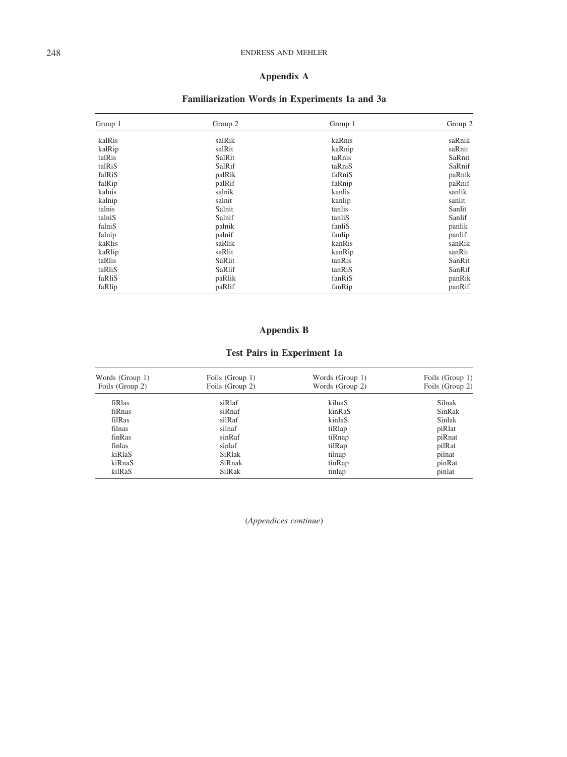## 248 ENDRESS AND MEHLER

# **Appendix A**

## **Familiarization Words in Experiments 1a and 3a**

| Group 1 | Group 2 | Group 1 | Group 2 |
|---------|---------|---------|---------|
| kalRis  | salRik  | kaRnis  | saRnik  |
| kalRip  | salRit  | kaRnip  | saRnit  |
| talRis  | SalRit  | taRnis  | SaRnit  |
| talRiS  | SalRif  | taRniS  | SaRnif  |
| falRiS  | palRik  | faRniS  | paRnik  |
| falRip  | palRif  | faRnip  | paRnif  |
| kalnis  | salnik  | kanlis  | sanlik  |
| kalnip  | salnit  | kanlip  | sanlit  |
| talnis  | Salnit  | tanlis  | Sanlit  |
| talniS  | Salnif  | tanliS  | Sanlif  |
| falniS  | palnik  | fanliS  | panlik  |
| falnip  | palnif  | fanlip  | panlif  |
| kaRlis  | saRlik  | kanRis  | sanRik  |
| kaRlip  | saRlit  | kanRip  | sanRit  |
| taRlis  | SaRlit  | tanRis  | SanRit  |
| taRliS  | SaRlif  | tanRiS  | SanRif  |
| faRliS  | paRlik  | fanRiS  | panRik  |
| faRlip  | paRlif  | fanRip  | panRif  |

# **Appendix B**

# **Test Pairs in Experiment 1a**

| Words (Group 1)<br>Foils (Group 2) | Foils (Group 1)<br>Foils (Group 2) | Words (Group 1)<br>Words (Group 2) | Foils (Group 1)<br>Foils (Group 2) |
|------------------------------------|------------------------------------|------------------------------------|------------------------------------|
| fiRlas                             | siRlaf                             | kilnaS                             | Silnak                             |
| fiRnas                             | siRnaf                             | kinRaS                             | SinRak                             |
| filRas                             | silRaf                             | kinlaS                             | Sinlak                             |
| filnas                             | silnaf                             | tiRlap                             | piRlat                             |
| finRas                             | sinRaf                             | tiRnap                             | piRnat                             |
| finlas                             | sinlaf                             | tilRap                             | pilRat                             |
| kiRlaS                             | SiRlak                             | tilnap                             | pilnat                             |
| kiRnaS                             | SiRnak                             | tinRap                             | pinRat                             |
| kilRaS                             | SilRak                             | tinlap                             | pinlat                             |

(*Appendices continue*)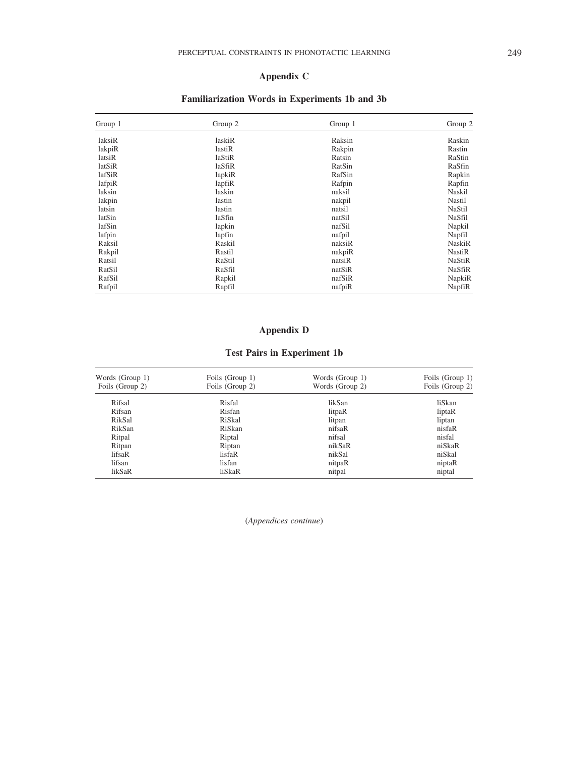## **Appendix C**

## **Familiarization Words in Experiments 1b and 3b**

| Group 1 | Group 2 | Group 1 | Group 2       |
|---------|---------|---------|---------------|
| laksiR  | laskiR  | Raksin  | Raskin        |
| lakpiR  | lastiR  | Rakpin  | Rastin        |
| latsiR  | laStiR  | Ratsin  | RaStin        |
| latSiR  | laSfiR  | RatSin  | RaSfin        |
| lafSiR  | lapkiR  | RafSin  | Rapkin        |
| lafpiR  | lapfiR  | Rafpin  | Rapfin        |
| laksin  | laskin  | naksil  | Naskil        |
| lakpin  | lastin  | nakpil  | Nastil        |
| latsin  | lastin  | natsil  | NaStil        |
| latSin  | laSfin  | natSil  | NaSfil        |
| lafSin  | lapkin  | nafSil  | Napkil        |
| lafpin  | lapfin  | nafpil  | Napfil        |
| Raksil  | Raskil  | naksiR  | <b>NaskiR</b> |
| Rakpil  | Rastil  | nakpiR  | <b>NastiR</b> |
| Ratsil  | RaStil  | natsiR  | <b>NaStiR</b> |
| RatSil  | RaSfil  | natSiR  | NaSfiR        |
| RafSil  | Rapkil  | nafSiR  | NapkiR        |
| Rafpil  | Rapfil  | nafpiR  | NapfiR        |

# **Appendix D**

# **Test Pairs in Experiment 1b**

| Words (Group 1)<br>Foils (Group 2) | Foils (Group 1)<br>Foils (Group 2) | Words (Group 1)<br>Words (Group 2) | Foils (Group 1)<br>Foils (Group 2) |
|------------------------------------|------------------------------------|------------------------------------|------------------------------------|
| Rifsal                             | Risfal                             | likSan                             | liSkan                             |
| Rifsan                             | Risfan                             | litpaR                             | liptaR                             |
| RikSal                             | RiSkal                             | litpan                             | liptan                             |
| RikSan                             | RiSkan                             | nifsaR                             | nisfaR                             |
| Ritpal                             | Riptal                             | nifsal                             | nisfal                             |
| Ritpan                             | Riptan                             | nikSaR                             | niSkaR                             |
| lifsaR                             | lisfaR                             | nikSal                             | niSkal                             |
| lifsan                             | lisfan                             | nitpaR                             | niptaR                             |
| likSaR                             | liSkaR                             | nitpal                             | niptal                             |
|                                    |                                    |                                    |                                    |

(*Appendices continue*)